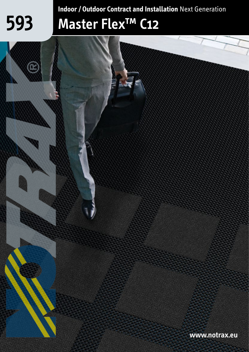# **593**

**Indoor / Outdoor Contract and Installation** Next Generation

# **Master Flex™ C12**

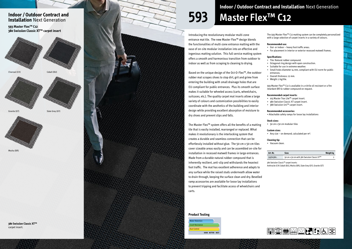**Product Testing**



Introducing the revolutionary modular multi-zone entrance mat tile. The new Master Flex™ design blends the functionalities of multi-zone entrance matting with the ease of on-site modular installation into an effective and ingenious matting solution. This full service matting system offers a smooth and harmonious transition from outdoor to indoor as well as from scraping to cleaning to drying.

Based on the unique design of the Oct-O-Flex™, the outdoor rubber mat scrapes shoes to stop dirt, grit and grime from entering the building with small drainage holes that are EU compliant for public entrances. Plus its smooth surface makes it suitable for wheeled access (carts, wheelchairs, suitcases, etc.). The quality carpet mat inserts allow a large variety of colours and customization possibilities to easily coordinate with the aesthetics of the building and interior design while providing excellent absorption of moisture to dry shoes and prevent slips and falls.

The Master Flex™ system offers all the benefits of a matting tile that is easily installed, rearranged or replaced. What makes it revolutionary is the interlocking system that creates a durable and seamless connection that can be effortlessly installed without glue. The 50 cm x 50 cm tiles cover sizeable areas easily and can be assembled on-site for installation in recessed matwell frames in large entrances. Made from a durable natural rubber compound that is inherently resilient, anti-slip and withstands the heaviest foot traffic. The mat has excellent adherence and adapts to any surface while the raised studs underneath allow water to drain through, keeping the surface clean and dry. Bevelled ramp accessories are available for loose lay installations to prevent tripping and facilitate access of wheelchairs and carts.

### **Indoor / Outdoor Contract and Installation** Next Generation

The 593 Master Flex™ C12 matting system can be completely personalized with a large selection of carpet inserts in a variety of colours.

#### **Recommended use:**

- Out- or indoor heavy foot traffic areas.
- For placement in interior or exterior recessed matwell frames.

#### **Specifications:**

- Tile: Natural rubber compound.
- Octagonal ring design with open construction.
- Suitable for use in extreme weather.
- Small holes diameter 14 mm, compliant with EU norm for public entrances.
- Overall thickness: 12 mm.
- Weight: 2 kg/tile.

593 Master Flex™ C12 is available in a nitrile oil resistant or a fire retardant Bfl-S1 rubber compound on request.

#### **Recommended carpet inserts:**

- 103 Master Trax Lite™ carpet insert. 380 Swisslon Classic XT carpet insert.
- 
- 388 Swisslon Uni™ carpet insert.

#### **Recommended accessories:**

• Attachable safety ramps for loose lay installations

#### **Stock sizes:**

• 50 cm x 50 cm modular tiles

#### **Custom sizes:**

• Any size – on demand, calculated per  $m^2$ .

#### **Cleaning tip:**

• Vacuum clean.

**380 Swisslon Classic XT™**  carpet insert.

**593 Master Flex™ C12 380 Swisslon Classic XT™ carpet insert**

# **593 Master Flex™ C12 Indoor / Outdoor Contract and Installation** Next Generation

| Art. Nr. | <b>Sizes</b>                                | <b>Weight kg</b> |
|----------|---------------------------------------------|------------------|
| 59350380 | 50 cm x 50 cm with 380 Swisslon Classic XT™ |                  |

380 Swisslon Classic™ carpet inserts:

Anthracite (CH) Cobalt (BU), Mocha (BR), Slate Grey (GY), Granite (GT)





Mocha (BR)